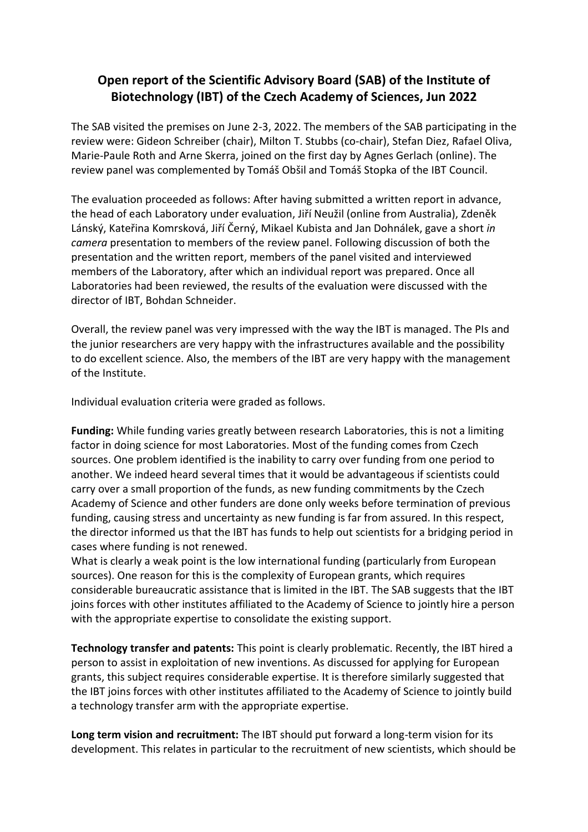## **Open report of the Scientific Advisory Board (SAB) of the Institute of Biotechnology (IBT) of the Czech Academy of Sciences, Jun 2022**

The SAB visited the premises on June 2-3, 2022. The members of the SAB participating in the review were: Gideon Schreiber (chair), Milton T. Stubbs (co-chair), Stefan Diez, Rafael Oliva, Marie-Paule Roth and Arne Skerra, joined on the first day by Agnes Gerlach (online). The review panel was complemented by Tomáš Obšil and Tomáš Stopka of the IBT Council.

The evaluation proceeded as follows: After having submitted a written report in advance, the head of each Laboratory under evaluation, Jiří Neužil (online from Australia), Zdeněk Lánský, Kateřina Komrsková, Jiří Černý, Mikael Kubista and Jan Dohnálek, gave a short *in camera* presentation to members of the review panel. Following discussion of both the presentation and the written report, members of the panel visited and interviewed members of the Laboratory, after which an individual report was prepared. Once all Laboratories had been reviewed, the results of the evaluation were discussed with the director of IBT, Bohdan Schneider.

Overall, the review panel was very impressed with the way the IBT is managed. The PIs and the junior researchers are very happy with the infrastructures available and the possibility to do excellent science. Also, the members of the IBT are very happy with the management of the Institute.

Individual evaluation criteria were graded as follows.

**Funding:** While funding varies greatly between research Laboratories, this is not a limiting factor in doing science for most Laboratories. Most of the funding comes from Czech sources. One problem identified is the inability to carry over funding from one period to another. We indeed heard several times that it would be advantageous if scientists could carry over a small proportion of the funds, as new funding commitments by the Czech Academy of Science and other funders are done only weeks before termination of previous funding, causing stress and uncertainty as new funding is far from assured. In this respect, the director informed us that the IBT has funds to help out scientists for a bridging period in cases where funding is not renewed.

What is clearly a weak point is the low international funding (particularly from European sources). One reason for this is the complexity of European grants, which requires considerable bureaucratic assistance that is limited in the IBT. The SAB suggests that the IBT joins forces with other institutes affiliated to the Academy of Science to jointly hire a person with the appropriate expertise to consolidate the existing support.

**Technology transfer and patents:** This point is clearly problematic. Recently, the IBT hired a person to assist in exploitation of new inventions. As discussed for applying for European grants, this subject requires considerable expertise. It is therefore similarly suggested that the IBT joins forces with other institutes affiliated to the Academy of Science to jointly build a technology transfer arm with the appropriate expertise.

**Long term vision and recruitment:** The IBT should put forward a long-term vision for its development. This relates in particular to the recruitment of new scientists, which should be